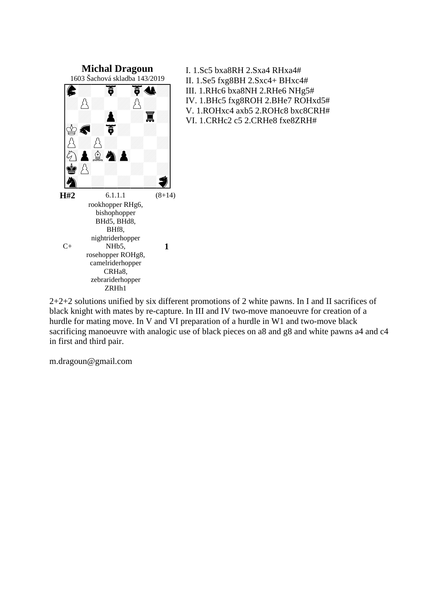

I. 1.Sc5 bxa8RH 2.Sxa4 RHxa4# II. 1.Se5 fxg8BH 2.Sxc4+ BHxc4# III. 1.RHc6 bxa8NH 2.RHe6 NHg5# IV. 1.BHc5 fxg8ROH 2.BHe7 ROHxd5# V. 1.ROHxc4 axb5 2.ROHc8 bxc8CRH# VI. 1.CRHc2 c5 2.CRHe8 fxe8ZRH#

2+2+2 solutions unified by six different promotions of 2 white pawns. In I and II sacrifices of black knight with mates by re-capture. In III and IV two-move manoeuvre for creation of a hurdle for mating move. In V and VI preparation of a hurdle in W1 and two-move black sacrificing manoeuvre with analogic use of black pieces on a8 and g8 and white pawns a4 and c4 in first and third pair.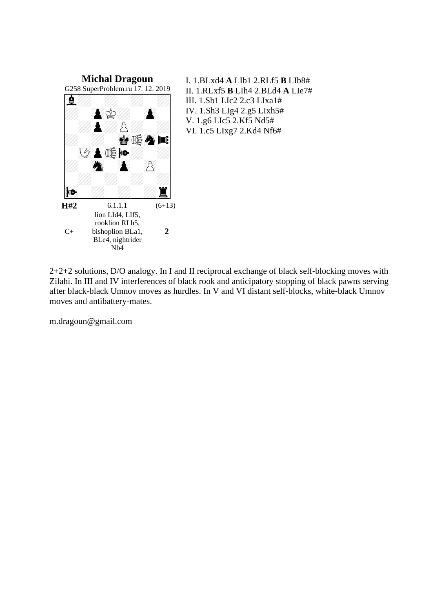

I. 1.BLxd4 **A** LIb1 2.RLf5 **B** LIb8# II. 1.RLxf5 **B** LIh4 2.BLd4 **A** LIe7# III. 1.Sb1 LIc2 2.c3 LIxa1# IV. 1.Sh3 LIg4 2.g5 LIxh5# V. 1.g6 LIc5 2.Kf5 Nd5# VI. 1.c5 LIxg7 2.Kd4 Nf6#

2+2+2 solutions, D/O analogy. In I and II reciprocal exchange of black self-blocking moves with Zilahi. In III and IV interferences of black rook and anticipatory stopping of black pawns serving after black-black Umnov moves as hurdles. In V and VI distant self-blocks, white-black Umnov moves and antibattery-mates.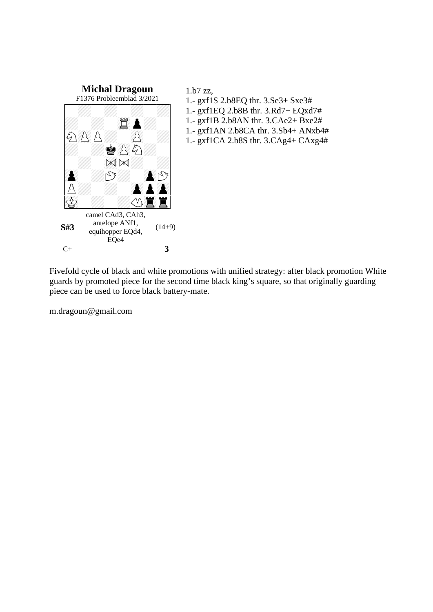

## 1.b7 zz, 1.- gxf1S 2.b8EQ thr. 3.Se3+ Sxe3# 1.- gxf1EQ 2.b8B thr. 3.Rd7+ EQxd7# 1.- gxf1B 2.b8AN thr. 3.CAe2+ Bxe2# 1.- gxf1AN 2.b8CA thr. 3.Sb4+ ANxb4# 1.- gxf1CA 2.b8S thr. 3.CAg4+ CAxg4#

Fivefold cycle of black and white promotions with unified strategy: after black promotion White guards by promoted piece for the second time black king's square, so that originally guarding piece can be used to force black battery-mate.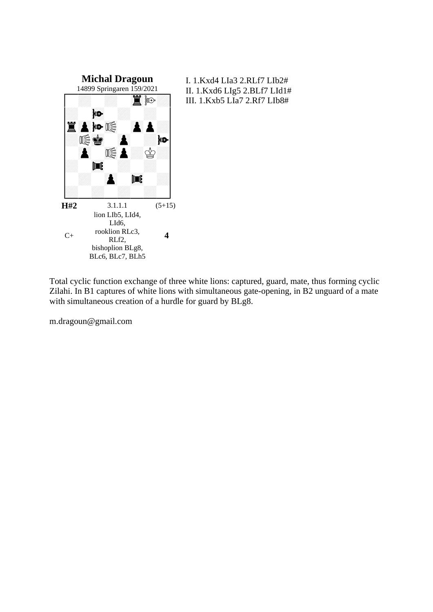

I. 1.Kxd4 LIa3 2.RLf7 LIb2# II. 1.Kxd6 LIg5 2.BLf7 LId1# III. 1.Kxb5 LIa7 2.Rf7 LIb8#

Total cyclic function exchange of three white lions: captured, guard, mate, thus forming cyclic Zilahi. In B1 captures of white lions with simultaneous gate-opening, in B2 unguard of a mate with simultaneous creation of a hurdle for guard by BLg8.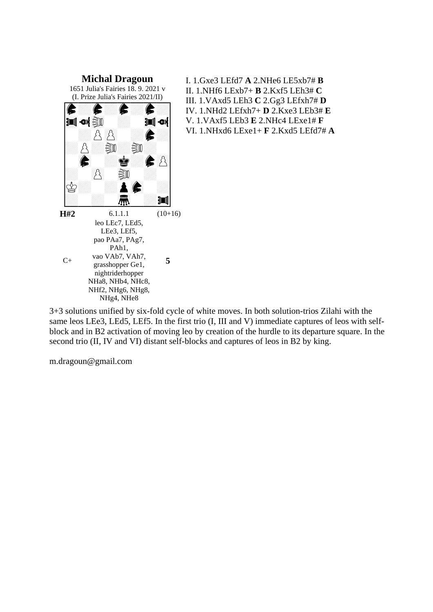

I. 1.Gxe3 LEfd7 **A** 2.NHe6 LE5xb7# **B** II. 1.NHf6 LExb7+ **B** 2.Kxf5 LEh3# **C** III. 1.VAxd5 LEh3 **C** 2.Gg3 LEfxh7# **D** IV. 1.NHd2 LEfxh7+ **D** 2.Kxe3 LEb3# **E** V. 1.VAxf5 LEb3 **E** 2.NHc4 LExe1# **F** VI. 1.NHxd6 LExe1+ **F** 2.Kxd5 LEfd7# **A**

3+3 solutions unified by six-fold cycle of white moves. In both solution-trios Zilahi with the same leos LEe3, LEd5, LEf5. In the first trio (I, III and V) immediate captures of leos with selfblock and in B2 activation of moving leo by creation of the hurdle to its departure square. In the second trio (II, IV and VI) distant self-blocks and captures of leos in B2 by king.